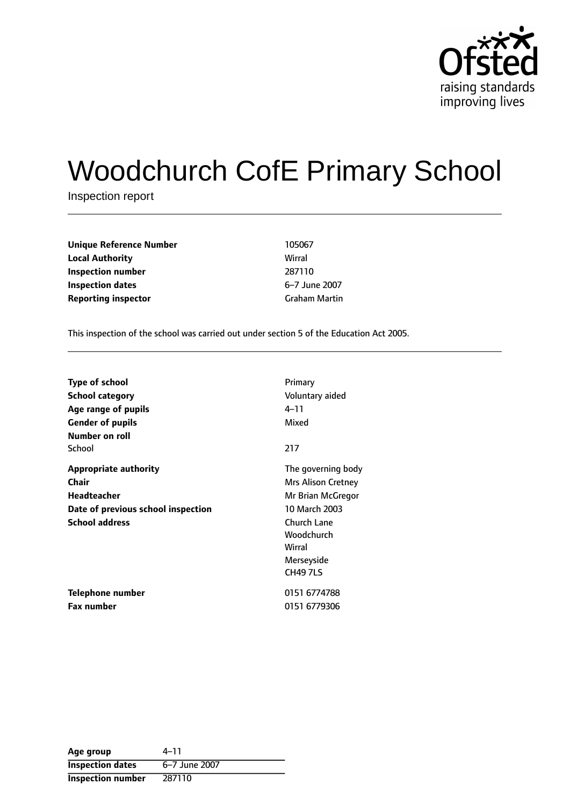

# Woodchurch CofE Primary School

Inspection report

| <b>Unique Reference Number</b> | 105067               |
|--------------------------------|----------------------|
| <b>Local Authority</b>         | Wirral               |
| Inspection number              | 287110               |
| <b>Inspection dates</b>        | 6-7 June 2007        |
| <b>Reporting inspector</b>     | <b>Graham Martin</b> |

This inspection of the school was carried out under section 5 of the Education Act 2005.

| <b>Type of school</b>              | Primary                   |
|------------------------------------|---------------------------|
| <b>School category</b>             | Voluntary aided           |
| Age range of pupils                | 4–11                      |
| <b>Gender of pupils</b>            | Mixed                     |
| Number on roll                     |                           |
| School                             | 217                       |
| <b>Appropriate authority</b>       | The governing body        |
| <b>Chair</b>                       | <b>Mrs Alison Cretney</b> |
| <b>Headteacher</b>                 | Mr Brian McGregor         |
| Date of previous school inspection | 10 March 2003             |
| <b>School address</b>              | <b>Church Lane</b>        |
|                                    | Woodchurch                |
|                                    | Wirral                    |
|                                    | Merseyside                |
|                                    | <b>CH49 7LS</b>           |
| Telephone number                   | 0151 6774788              |
| <b>Fax number</b>                  | 0151 6779306              |

| Age group                | 4–11          |
|--------------------------|---------------|
| <b>Inspection dates</b>  | 6-7 June 2007 |
| <b>Inspection number</b> | 287110        |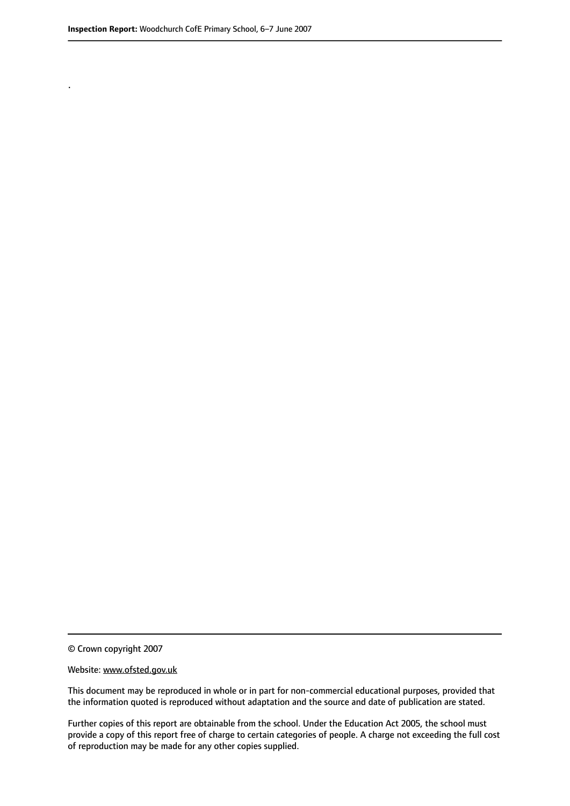.

© Crown copyright 2007

#### Website: www.ofsted.gov.uk

This document may be reproduced in whole or in part for non-commercial educational purposes, provided that the information quoted is reproduced without adaptation and the source and date of publication are stated.

Further copies of this report are obtainable from the school. Under the Education Act 2005, the school must provide a copy of this report free of charge to certain categories of people. A charge not exceeding the full cost of reproduction may be made for any other copies supplied.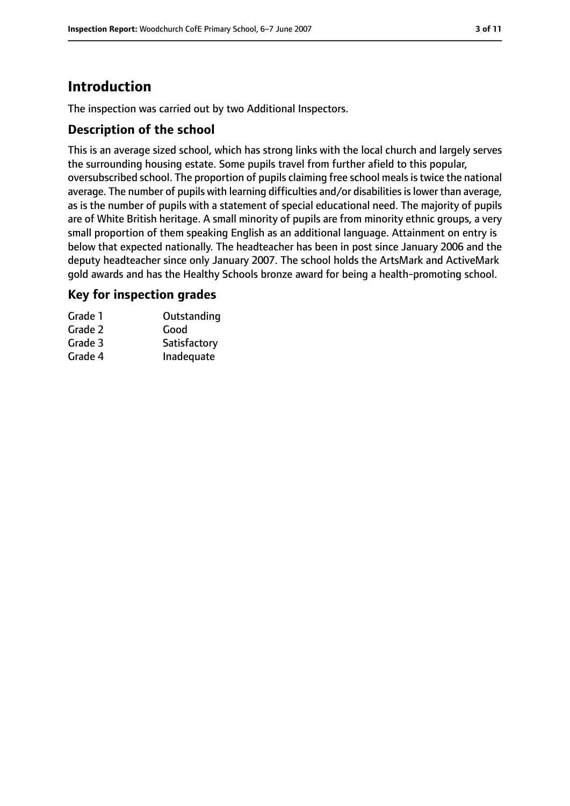# **Introduction**

The inspection was carried out by two Additional Inspectors.

## **Description of the school**

This is an average sized school, which has strong links with the local church and largely serves the surrounding housing estate. Some pupils travel from further afield to this popular, oversubscribed school. The proportion of pupils claiming free school meals is twice the national average. The number of pupils with learning difficulties and/or disabilities is lower than average, as is the number of pupils with a statement of special educational need. The majority of pupils are of White British heritage. A small minority of pupils are from minority ethnic groups, a very small proportion of them speaking English as an additional language. Attainment on entry is below that expected nationally. The headteacher has been in post since January 2006 and the deputy headteacher since only January 2007. The school holds the ArtsMark and ActiveMark gold awards and has the Healthy Schools bronze award for being a health-promoting school.

## **Key for inspection grades**

| Grade 1 | Outstanding  |
|---------|--------------|
| Grade 2 | Good         |
| Grade 3 | Satisfactory |
| Grade 4 | Inadequate   |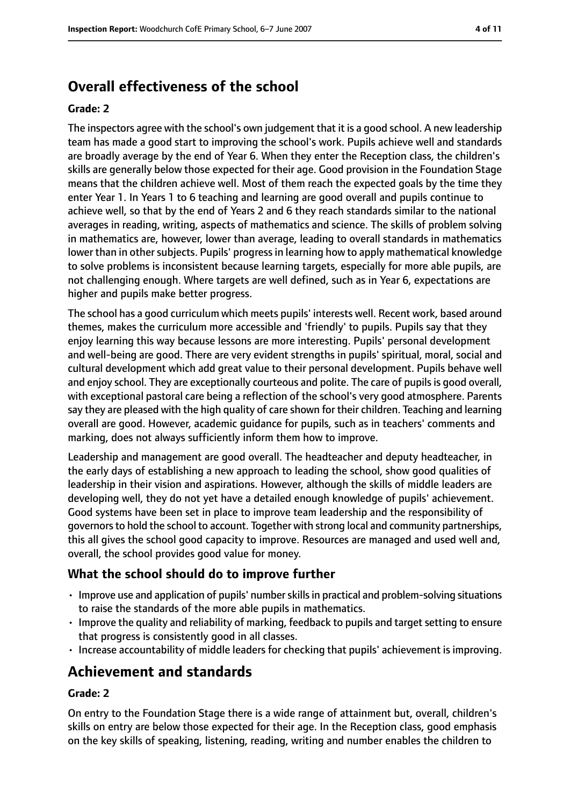# **Overall effectiveness of the school**

#### **Grade: 2**

The inspectors agree with the school's own judgement that it is a good school. A new leadership team has made a good start to improving the school's work. Pupils achieve well and standards are broadly average by the end of Year 6. When they enter the Reception class, the children's skills are generally below those expected for their age. Good provision in the Foundation Stage means that the children achieve well. Most of them reach the expected goals by the time they enter Year 1. In Years 1 to 6 teaching and learning are good overall and pupils continue to achieve well, so that by the end of Years 2 and 6 they reach standards similar to the national averages in reading, writing, aspects of mathematics and science. The skills of problem solving in mathematics are, however, lower than average, leading to overall standards in mathematics lower than in other subjects. Pupils' progress in learning how to apply mathematical knowledge to solve problems is inconsistent because learning targets, especially for more able pupils, are not challenging enough. Where targets are well defined, such as in Year 6, expectations are higher and pupils make better progress.

The school has a good curriculum which meets pupils' interests well. Recent work, based around themes, makes the curriculum more accessible and 'friendly' to pupils. Pupils say that they enjoy learning this way because lessons are more interesting. Pupils' personal development and well-being are good. There are very evident strengths in pupils' spiritual, moral, social and cultural development which add great value to their personal development. Pupils behave well and enjoy school. They are exceptionally courteous and polite. The care of pupilsis good overall, with exceptional pastoral care being a reflection of the school's very good atmosphere. Parents say they are pleased with the high quality of care shown for their children. Teaching and learning overall are good. However, academic guidance for pupils, such as in teachers' comments and marking, does not always sufficiently inform them how to improve.

Leadership and management are good overall. The headteacher and deputy headteacher, in the early days of establishing a new approach to leading the school, show good qualities of leadership in their vision and aspirations. However, although the skills of middle leaders are developing well, they do not yet have a detailed enough knowledge of pupils' achievement. Good systems have been set in place to improve team leadership and the responsibility of governorsto hold the school to account. Together with strong local and community partnerships, this all gives the school good capacity to improve. Resources are managed and used well and, overall, the school provides good value for money.

## **What the school should do to improve further**

- Improve use and application of pupils' numberskillsin practical and problem-solving situations to raise the standards of the more able pupils in mathematics.
- Improve the quality and reliability of marking, feedback to pupils and target setting to ensure that progress is consistently good in all classes.
- Increase accountability of middle leaders for checking that pupils' achievement is improving.

## **Achievement and standards**

#### **Grade: 2**

On entry to the Foundation Stage there is a wide range of attainment but, overall, children's skills on entry are below those expected for their age. In the Reception class, good emphasis on the key skills of speaking, listening, reading, writing and number enables the children to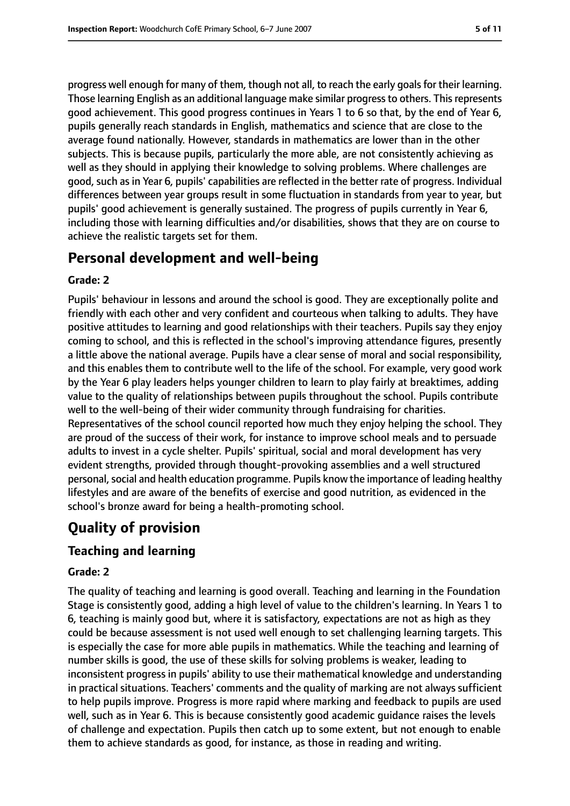progress well enough for many of them, though not all, to reach the early goalsfor their learning. Those learning English as an additional language make similar progress to others. This represents good achievement. This good progress continues in Years 1 to 6 so that, by the end of Year 6, pupils generally reach standards in English, mathematics and science that are close to the average found nationally. However, standards in mathematics are lower than in the other subjects. This is because pupils, particularly the more able, are not consistently achieving as well as they should in applying their knowledge to solving problems. Where challenges are good, such as in Year 6, pupils' capabilities are reflected in the better rate of progress. Individual differences between year groups result in some fluctuation in standards from year to year, but pupils' good achievement is generally sustained. The progress of pupils currently in Year 6, including those with learning difficulties and/or disabilities, shows that they are on course to achieve the realistic targets set for them.

## **Personal development and well-being**

#### **Grade: 2**

Pupils' behaviour in lessons and around the school is good. They are exceptionally polite and friendly with each other and very confident and courteous when talking to adults. They have positive attitudes to learning and good relationships with their teachers. Pupils say they enjoy coming to school, and this is reflected in the school's improving attendance figures, presently a little above the national average. Pupils have a clear sense of moral and social responsibility, and this enables them to contribute well to the life of the school. For example, very good work by the Year 6 play leaders helps younger children to learn to play fairly at breaktimes, adding value to the quality of relationships between pupils throughout the school. Pupils contribute well to the well-being of their wider community through fundraising for charities. Representatives of the school council reported how much they enjoy helping the school. They are proud of the success of their work, for instance to improve school meals and to persuade adults to invest in a cycle shelter. Pupils' spiritual, social and moral development has very evident strengths, provided through thought-provoking assemblies and a well structured personal, social and health education programme. Pupils know the importance of leading healthy lifestyles and are aware of the benefits of exercise and good nutrition, as evidenced in the school's bronze award for being a health-promoting school.

# **Quality of provision**

## **Teaching and learning**

#### **Grade: 2**

The quality of teaching and learning is good overall. Teaching and learning in the Foundation Stage is consistently good, adding a high level of value to the children's learning. In Years 1 to 6, teaching is mainly good but, where it is satisfactory, expectations are not as high as they could be because assessment is not used well enough to set challenging learning targets. This is especially the case for more able pupils in mathematics. While the teaching and learning of number skills is good, the use of these skills for solving problems is weaker, leading to inconsistent progress in pupils' ability to use their mathematical knowledge and understanding in practical situations. Teachers' comments and the quality of marking are not always sufficient to help pupils improve. Progress is more rapid where marking and feedback to pupils are used well, such as in Year 6. This is because consistently good academic guidance raises the levels of challenge and expectation. Pupils then catch up to some extent, but not enough to enable them to achieve standards as good, for instance, as those in reading and writing.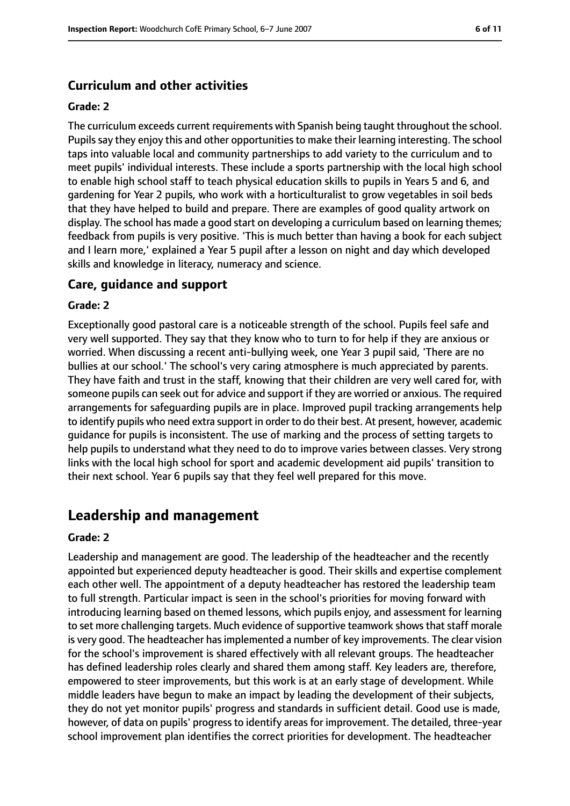## **Curriculum and other activities**

#### **Grade: 2**

The curriculum exceeds current requirements with Spanish being taught throughout the school. Pupils say they enjoy this and other opportunities to make their learning interesting. The school taps into valuable local and community partnerships to add variety to the curriculum and to meet pupils' individual interests. These include a sports partnership with the local high school to enable high school staff to teach physical education skills to pupils in Years 5 and 6, and gardening for Year 2 pupils, who work with a horticulturalist to grow vegetables in soil beds that they have helped to build and prepare. There are examples of good quality artwork on display. The school has made a good start on developing a curriculum based on learning themes; feedback from pupils is very positive. 'This is much better than having a book for each subject and I learn more,' explained a Year 5 pupil after a lesson on night and day which developed skills and knowledge in literacy, numeracy and science.

#### **Care, guidance and support**

#### **Grade: 2**

Exceptionally good pastoral care is a noticeable strength of the school. Pupils feel safe and very well supported. They say that they know who to turn to for help if they are anxious or worried. When discussing a recent anti-bullying week, one Year 3 pupil said, 'There are no bullies at our school.' The school's very caring atmosphere is much appreciated by parents. They have faith and trust in the staff, knowing that their children are very well cared for, with someone pupils can seek out for advice and support if they are worried or anxious. The required arrangements for safeguarding pupils are in place. Improved pupil tracking arrangements help to identify pupils who need extra support in order to do their best. At present, however, academic guidance for pupils is inconsistent. The use of marking and the process of setting targets to help pupils to understand what they need to do to improve varies between classes. Very strong links with the local high school for sport and academic development aid pupils' transition to their next school. Year 6 pupils say that they feel well prepared for this move.

## **Leadership and management**

#### **Grade: 2**

Leadership and management are good. The leadership of the headteacher and the recently appointed but experienced deputy headteacher is good. Their skills and expertise complement each other well. The appointment of a deputy headteacher has restored the leadership team to full strength. Particular impact is seen in the school's priorities for moving forward with introducing learning based on themed lessons, which pupils enjoy, and assessment for learning to set more challenging targets. Much evidence of supportive teamwork shows that staff morale is very good. The headteacher hasimplemented a number of key improvements. The clear vision for the school's improvement is shared effectively with all relevant groups. The headteacher has defined leadership roles clearly and shared them among staff. Key leaders are, therefore, empowered to steer improvements, but this work is at an early stage of development. While middle leaders have begun to make an impact by leading the development of their subjects, they do not yet monitor pupils' progress and standards in sufficient detail. Good use is made, however, of data on pupils' progress to identify areas for improvement. The detailed, three-year school improvement plan identifies the correct priorities for development. The headteacher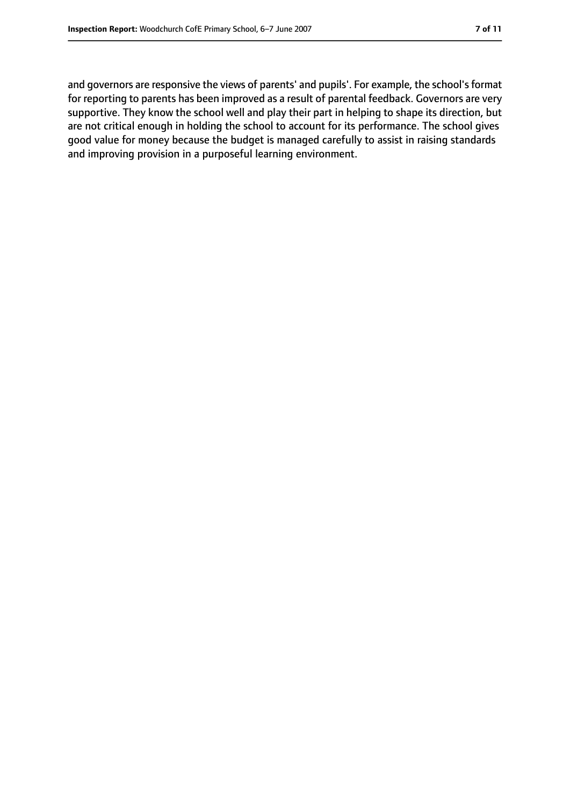and governors are responsive the views of parents' and pupils'. For example, the school's format for reporting to parents has been improved as a result of parental feedback. Governors are very supportive. They know the school well and play their part in helping to shape its direction, but are not critical enough in holding the school to account for its performance. The school gives good value for money because the budget is managed carefully to assist in raising standards and improving provision in a purposeful learning environment.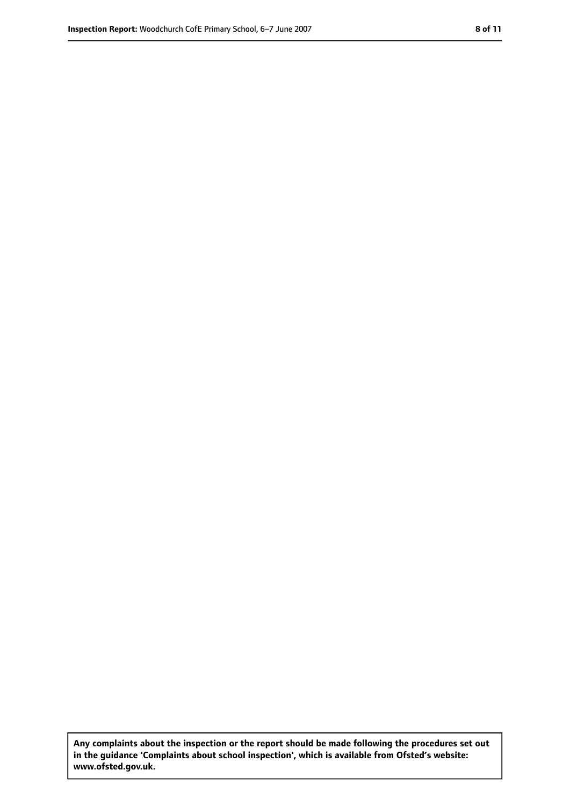**Any complaints about the inspection or the report should be made following the procedures set out in the guidance 'Complaints about school inspection', which is available from Ofsted's website: www.ofsted.gov.uk.**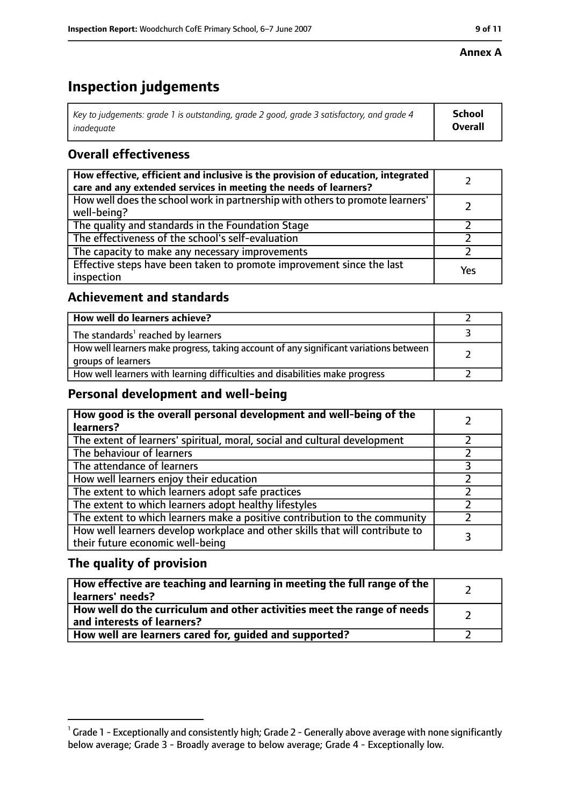#### **Annex A**

# **Inspection judgements**

| Key to judgements: grade 1 is outstanding, grade 2 good, grade 3 satisfactory, and grade 4 | <b>School</b>  |
|--------------------------------------------------------------------------------------------|----------------|
| inadequate                                                                                 | <b>Overall</b> |

## **Overall effectiveness**

| How effective, efficient and inclusive is the provision of education, integrated<br>care and any extended services in meeting the needs of learners? |     |
|------------------------------------------------------------------------------------------------------------------------------------------------------|-----|
| How well does the school work in partnership with others to promote learners'<br>well-being?                                                         |     |
| The quality and standards in the Foundation Stage                                                                                                    |     |
| The effectiveness of the school's self-evaluation                                                                                                    |     |
| The capacity to make any necessary improvements                                                                                                      |     |
| Effective steps have been taken to promote improvement since the last<br>inspection                                                                  | Yes |

## **Achievement and standards**

| How well do learners achieve?                                                                               |  |
|-------------------------------------------------------------------------------------------------------------|--|
| The standards <sup>1</sup> reached by learners                                                              |  |
| How well learners make progress, taking account of any significant variations between<br>groups of learners |  |
| How well learners with learning difficulties and disabilities make progress                                 |  |

## **Personal development and well-being**

| How good is the overall personal development and well-being of the<br>learners?                                  |  |
|------------------------------------------------------------------------------------------------------------------|--|
| The extent of learners' spiritual, moral, social and cultural development                                        |  |
| The behaviour of learners                                                                                        |  |
| The attendance of learners                                                                                       |  |
| How well learners enjoy their education                                                                          |  |
| The extent to which learners adopt safe practices                                                                |  |
| The extent to which learners adopt healthy lifestyles                                                            |  |
| The extent to which learners make a positive contribution to the community                                       |  |
| How well learners develop workplace and other skills that will contribute to<br>their future economic well-being |  |

## **The quality of provision**

| How effective are teaching and learning in meeting the full range of the<br>learners' needs?          |  |
|-------------------------------------------------------------------------------------------------------|--|
| How well do the curriculum and other activities meet the range of needs<br>and interests of learners? |  |
| How well are learners cared for, quided and supported?                                                |  |

 $^1$  Grade 1 - Exceptionally and consistently high; Grade 2 - Generally above average with none significantly below average; Grade 3 - Broadly average to below average; Grade 4 - Exceptionally low.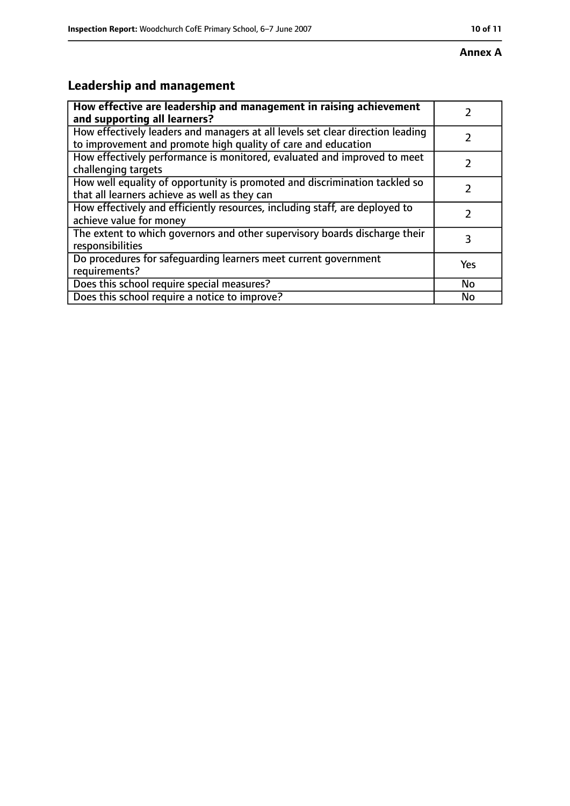# **Leadership and management**

| How effective are leadership and management in raising achievement<br>and supporting all learners?                                              |           |
|-------------------------------------------------------------------------------------------------------------------------------------------------|-----------|
| How effectively leaders and managers at all levels set clear direction leading<br>to improvement and promote high quality of care and education |           |
| How effectively performance is monitored, evaluated and improved to meet<br>challenging targets                                                 |           |
| How well equality of opportunity is promoted and discrimination tackled so<br>that all learners achieve as well as they can                     |           |
| How effectively and efficiently resources, including staff, are deployed to<br>achieve value for money                                          |           |
| The extent to which governors and other supervisory boards discharge their<br>responsibilities                                                  | 3         |
| Do procedures for safequarding learners meet current government<br>requirements?                                                                | Yes       |
| Does this school require special measures?                                                                                                      | <b>No</b> |
| Does this school require a notice to improve?                                                                                                   | No        |